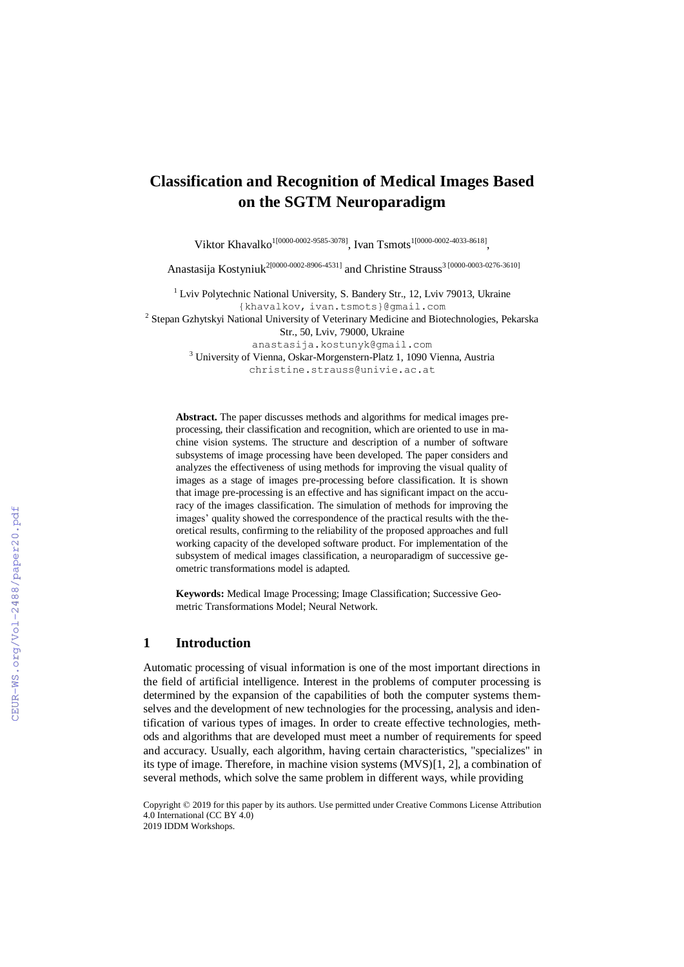# **Classification and Recognition of Medical Images Based on the SGTM Neuroparadigm**

Viktor Khavalko<sup>1[0000-0002-9585-3078]</sup>, Ivan Tsmots<sup>1[0000-0002-4033-8618]</sup>,

Anastasija Kostyniuk<sup>2[0000-0002-8906-4531]</sup> and Christine Strauss<sup>3 [\[0000-0003-0276-3610\]](http://orcid.org/0000-0003-0276-3610)</sup>

 $1$  Lviv Polytechnic National University, S. Bandery Str., 12, Lviv 79013, Ukraine {khavalkov, ivan.tsmots}@gmail.com <sup>2</sup> Stepan Gzhytskyi National University of Veterinary Medicine and Biotechnologies, Pekarska Str., 50, Lviv, 79000, Ukraine [anastasija.kostunyk@gmail.com](mailto:anastasija.kostunyk@gmail.com) <sup>3</sup> University of Vienna, Oskar-Morgenstern-Platz 1, 1090 Vienna, Austria

christine.strauss@univie.ac.at

**Abstract.** The paper discusses methods and algorithms for medical images preprocessing, their classification and recognition, which are oriented to use in machine vision systems. The structure and description of a number of software subsystems of image processing have been developed. The paper considers and analyzes the effectiveness of using methods for improving the visual quality of images as a stage of images pre-processing before classification. It is shown that image pre-processing is an effective and has significant impact on the accuracy of the images classification. The simulation of methods for improving the images' quality showed the correspondence of the practical results with the theoretical results, confirming to the reliability of the proposed approaches and full working capacity of the developed software product. For implementation of the subsystem of medical images classification, a neuroparadigm of successive geometric transformations model is adapted.

**Keywords:** Medical Image Processing; Image Classification; Successive Geometric Transformations Model; Neural Network.

## **1 Introduction**

Automatic processing of visual information is one of the most important directions in the field of artificial intelligence. Interest in the problems of computer processing is determined by the expansion of the capabilities of both the computer systems themselves and the development of new technologies for the processing, analysis and identification of various types of images. In order to create effective technologies, methods and algorithms that are developed must meet a number of requirements for speed and accuracy. Usually, each algorithm, having certain characteristics, "specializes" in its type of image. Therefore, in machine vision systems (MVS)[1, 2], a combination of several methods, which solve the same problem in different ways, while providing

Copyright © 2019 for this paper by its authors. Use permitted under Creative Commons License Attribution 4.0 International (CC BY 4.0) 2019 IDDM Workshops.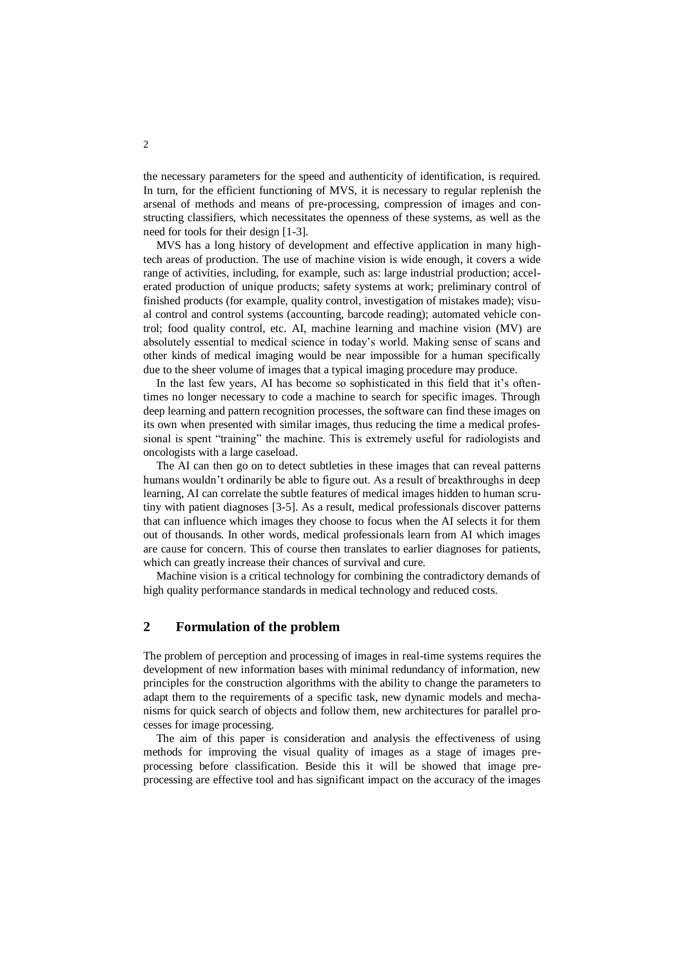the necessary parameters for the speed and authenticity of identification, is required. In turn, for the efficient functioning of MVS, it is necessary to regular replenish the arsenal of methods and means of pre-processing, compression of images and constructing classifiers, which necessitates the openness of these systems, as well as the need for tools for their design [1-3].

MVS has a long history of development and effective application in many hightech areas of production. The use of machine vision is wide enough, it covers a wide range of activities, including, for example, such as: large industrial production; accelerated production of unique products; safety systems at work; preliminary control of finished products (for example, quality control, investigation of mistakes made); visual control and control systems (accounting, barcode reading); automated vehicle control; food quality control, etc. AI, machine learning and machine vision (MV) are absolutely essential to medical science in today's world. Making sense of scans and other kinds of medical imaging would be near impossible for a human specifically due to the sheer volume of images that a typical imaging procedure may produce.

In the last few years, AI has become so sophisticated in this field that it's oftentimes no longer necessary to code a machine to search for specific images. Through deep learning and pattern recognition processes, the software can find these images on its own when presented with similar images, thus reducing the time a medical professional is spent "training" the machine. This is extremely useful for radiologists and oncologists with a large caseload.

The AI can then go on to detect subtleties in these images that can reveal patterns humans wouldn't ordinarily be able to figure out. As a result of breakthroughs in deep learning, AI can correlate the subtle features of medical images hidden to human scrutiny with patient diagnoses [3-5]. As a result, medical professionals discover patterns that can influence which images they choose to focus when the AI selects it for them out of thousands. In other words, medical professionals learn from AI which images are cause for concern. This of course then translates to earlier diagnoses for patients, which can greatly increase their chances of survival and cure.

Machine vision is a critical technology for combining the contradictory demands of high quality performance standards in medical technology and reduced costs.

## **2 Formulation of the problem**

The problem of perception and processing of images in real-time systems requires the development of new information bases with minimal redundancy of information, new principles for the construction algorithms with the ability to change the parameters to adapt them to the requirements of a specific task, new dynamic models and mechanisms for quick search of objects and follow them, new architectures for parallel processes for image processing.

The aim of this paper is consideration and analysis the effectiveness of using methods for improving the visual quality of images as a stage of images preprocessing before classification. Beside this it will be showed that image preprocessing are effective tool and has significant impact on the accuracy of the images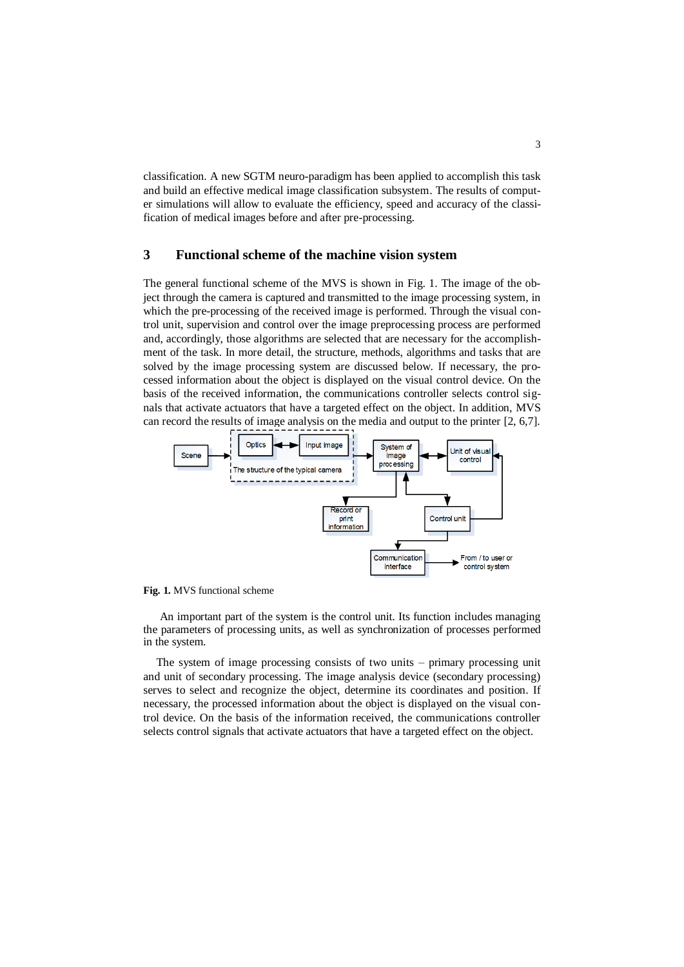classification. A new SGTM neuro-paradigm has been applied to accomplish this task and build an effective medical image classification subsystem. The results of computer simulations will allow to evaluate the efficiency, speed and accuracy of the classification of medical images before and after pre-processing.

## **3 Functional scheme of the machine vision system**

The general functional scheme of the MVS is shown in Fig. 1. The image of the object through the camera is captured and transmitted to the image processing system, in which the pre-processing of the received image is performed. Through the visual control unit, supervision and control over the image preprocessing process are performed and, accordingly, those algorithms are selected that are necessary for the accomplishment of the task. In more detail, the structure, methods, algorithms and tasks that are solved by the image processing system are discussed below. If necessary, the processed information about the object is displayed on the visual control device. On the basis of the received information, the communications controller selects control signals that activate actuators that have a targeted effect on the object. In addition, MVS can record the results of image analysis on the media and output to the printer [2, 6,7].



**Fig. 1.** MVS functional scheme

An important part of the system is the control unit. Its function includes managing the parameters of processing units, as well as synchronization of processes performed in the system.

The system of image processing consists of two units – primary processing unit and unit of secondary processing. The image analysis device (secondary processing) serves to select and recognize the object, determine its coordinates and position. If necessary, the processed information about the object is displayed on the visual control device. On the basis of the information received, the communications controller selects control signals that activate actuators that have a targeted effect on the object.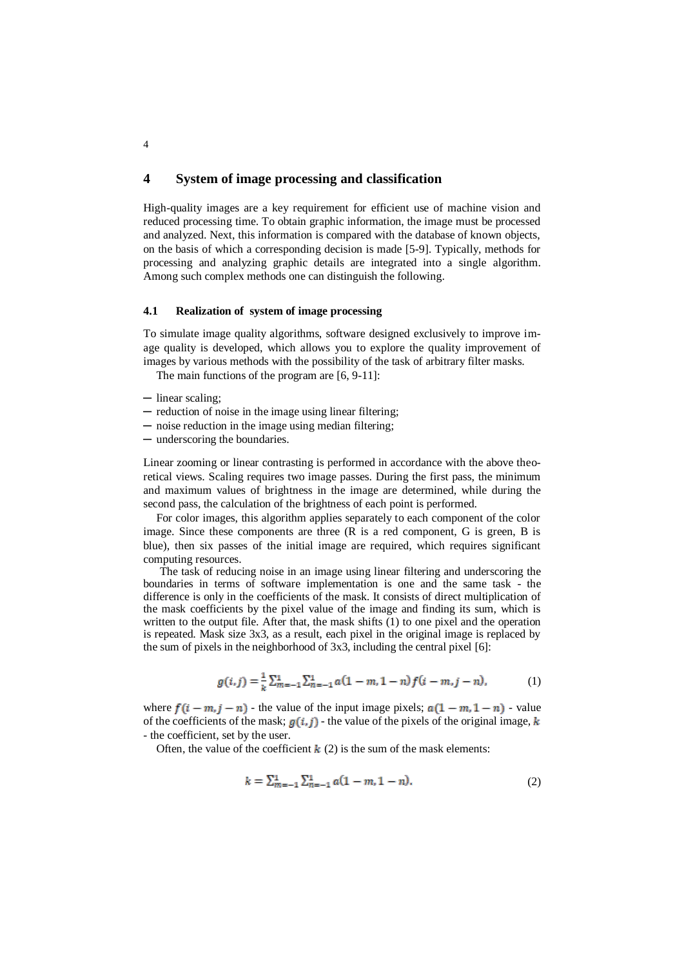## **4 System of image processing and classification**

High-quality images are a key requirement for efficient use of machine vision and reduced processing time. To obtain graphic information, the image must be processed and analyzed. Next, this information is compared with the database of known objects, on the basis of which a corresponding decision is made [5-9]. Typically, methods for processing and analyzing graphic details are integrated into a single algorithm. Among such complex methods one can distinguish the following.

#### **4.1 Realization of system of image processing**

To simulate image quality algorithms, software designed exclusively to improve image quality is developed, which allows you to explore the quality improvement of images by various methods with the possibility of the task of arbitrary filter masks.

The main functions of the program are [6, 9-11]:

- ─ linear scaling;
- ─ reduction of noise in the image using linear filtering;
- ─ noise reduction in the image using median filtering;
- ─ underscoring the boundaries.

Linear zooming or linear contrasting is performed in accordance with the above theoretical views. Scaling requires two image passes. During the first pass, the minimum and maximum values of brightness in the image are determined, while during the second pass, the calculation of the brightness of each point is performed.

For color images, this algorithm applies separately to each component of the color image. Since these components are three (R is a red component, G is green, B is blue), then six passes of the initial image are required, which requires significant computing resources.

The task of reducing noise in an image using linear filtering and underscoring the boundaries in terms of software implementation is one and the same task - the difference is only in the coefficients of the mask. It consists of direct multiplication of the mask coefficients by the pixel value of the image and finding its sum, which is written to the output file. After that, the mask shifts  $(1)$  to one pixel and the operation is repeated. Mask size 3x3, as a result, each pixel in the original image is replaced by the sum of pixels in the neighborhood of 3x3, including the central pixel [6]:

$$
g(i,j) = \frac{1}{k} \sum_{m=-1}^{1} \sum_{n=-1}^{1} a(1-m, 1-n) f(i-m, j-n),
$$
 (1)

where  $f(i - m, j - n)$  - the value of the input image pixels;  $a(1 - m, 1 - n)$  - value of the coefficients of the mask;  $g(i, j)$  - the value of the pixels of the original image, k - the coefficient, set by the user.

Often, the value of the coefficient  $k(2)$  is the sum of the mask elements:

$$
k = \sum_{m=-1}^{1} \sum_{n=-1}^{1} a(1-m, 1-n). \tag{2}
$$

4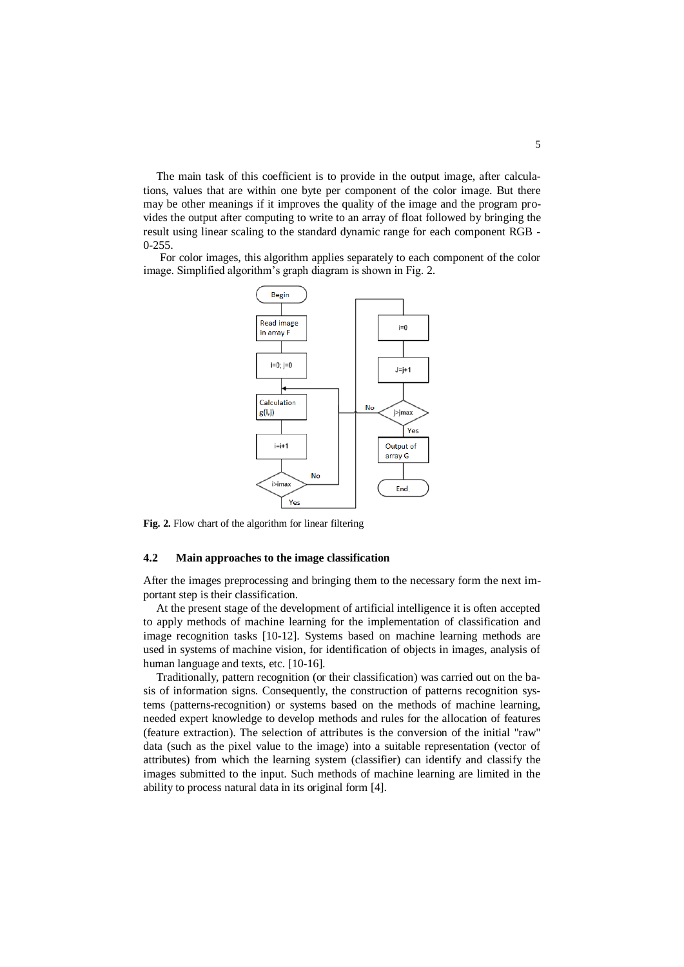The main task of this coefficient is to provide in the output image, after calculations, values that are within one byte per component of the color image. But there may be other meanings if it improves the quality of the image and the program provides the output after computing to write to an array of float followed by bringing the result using linear scaling to the standard dynamic range for each component RGB - 0-255.

For color images, this algorithm applies separately to each component of the color image. Simplified algorithm's graph diagram is shown in Fig. 2.



**Fig. 2.** Flow chart of the algorithm for linear filtering

#### **4.2 Main approaches to the image classification**

After the images preprocessing and bringing them to the necessary form the next important step is their classification.

At the present stage of the development of artificial intelligence it is often accepted to apply methods of machine learning for the implementation of classification and image recognition tasks [10-12]. Systems based on machine learning methods are used in systems of machine vision, for identification of objects in images, analysis of human language and texts, etc. [10-16].

Traditionally, pattern recognition (or their classification) was carried out on the basis of information signs. Consequently, the construction of patterns recognition systems (patterns-recognition) or systems based on the methods of machine learning, needed expert knowledge to develop methods and rules for the allocation of features (feature extraction). The selection of attributes is the conversion of the initial "raw" data (such as the pixel value to the image) into a suitable representation (vector of attributes) from which the learning system (classifier) can identify and classify the images submitted to the input. Such methods of machine learning are limited in the ability to process natural data in its original form [4].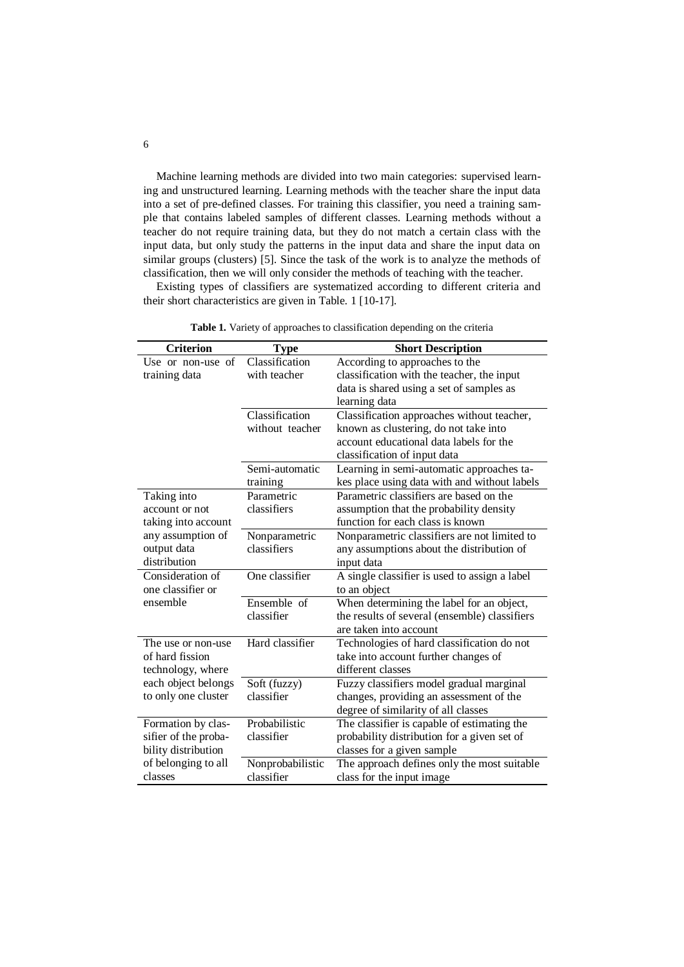Machine learning methods are divided into two main categories: supervised learning and unstructured learning. Learning methods with the teacher share the input data into a set of pre-defined classes. For training this classifier, you need a training sample that contains labeled samples of different classes. Learning methods without a teacher do not require training data, but they do not match a certain class with the input data, but only study the patterns in the input data and share the input data on similar groups (clusters) [5]. Since the task of the work is to analyze the methods of classification, then we will only consider the methods of teaching with the teacher.

Existing types of classifiers are systematized according to different criteria and their short characteristics are given in Table. 1 [10-17].

| <b>Criterion</b>     | <b>Type</b>      | <b>Short Description</b>                      |
|----------------------|------------------|-----------------------------------------------|
| Use or non-use of    | Classification   | According to approaches to the                |
| training data        | with teacher     | classification with the teacher, the input    |
|                      |                  | data is shared using a set of samples as      |
|                      |                  | learning data                                 |
|                      | Classification   | Classification approaches without teacher,    |
|                      | without teacher  | known as clustering, do not take into         |
|                      |                  | account educational data labels for the       |
|                      |                  | classification of input data                  |
|                      | Semi-automatic   | Learning in semi-automatic approaches ta-     |
|                      | training         | kes place using data with and without labels  |
| Taking into          | Parametric       | Parametric classifiers are based on the       |
| account or not       | classifiers      | assumption that the probability density       |
| taking into account  |                  | function for each class is known              |
| any assumption of    | Nonparametric    | Nonparametric classifiers are not limited to  |
| output data          | classifiers      | any assumptions about the distribution of     |
| distribution         |                  | input data                                    |
| Consideration of     | One classifier   | A single classifier is used to assign a label |
| one classifier or    |                  | to an object                                  |
| ensemble             | Ensemble of      | When determining the label for an object,     |
|                      | classifier       | the results of several (ensemble) classifiers |
|                      |                  | are taken into account                        |
| The use or non-use   | Hard classifier  | Technologies of hard classification do not    |
| of hard fission      |                  | take into account further changes of          |
| technology, where    |                  | different classes                             |
| each object belongs  | Soft (fuzzy)     | Fuzzy classifiers model gradual marginal      |
| to only one cluster  | classifier       | changes, providing an assessment of the       |
|                      |                  | degree of similarity of all classes           |
| Formation by clas-   | Probabilistic    | The classifier is capable of estimating the   |
| sifier of the proba- | classifier       | probability distribution for a given set of   |
| bility distribution  |                  | classes for a given sample                    |
| of belonging to all  | Nonprobabilistic | The approach defines only the most suitable   |
| classes              | classifier       | class for the input image                     |

**Table 1.** Variety of approaches to classification depending on the criteria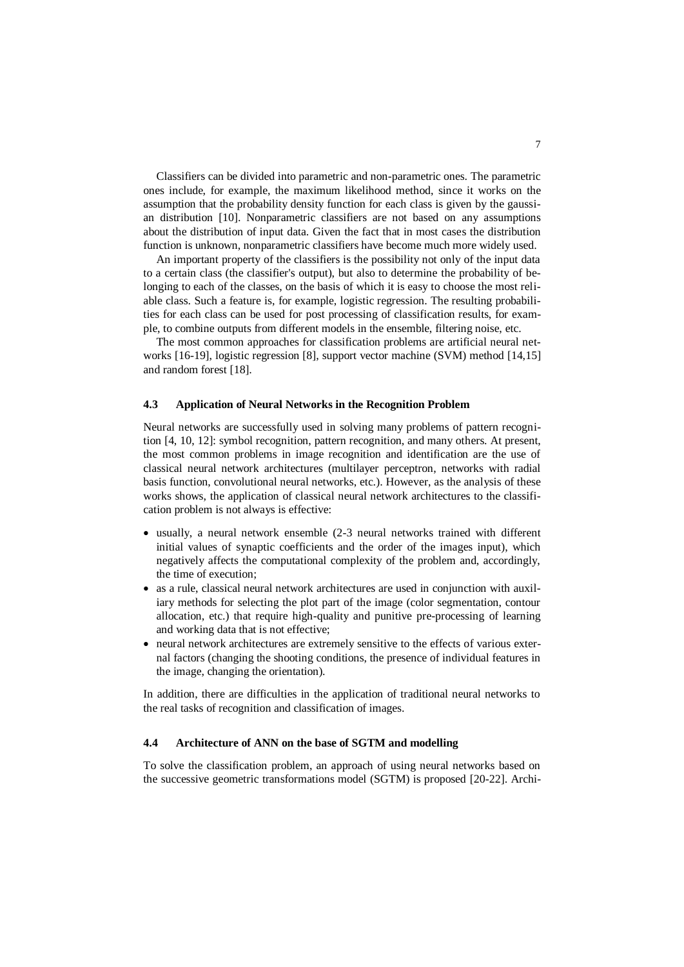Classifiers can be divided into parametric and non-parametric ones. The parametric ones include, for example, the maximum likelihood method, since it works on the assumption that the probability density function for each class is given by the gaussian distribution [10]. Nonparametric classifiers are not based on any assumptions about the distribution of input data. Given the fact that in most cases the distribution function is unknown, nonparametric classifiers have become much more widely used.

An important property of the classifiers is the possibility not only of the input data to a certain class (the classifier's output), but also to determine the probability of belonging to each of the classes, on the basis of which it is easy to choose the most reliable class. Such a feature is, for example, logistic regression. The resulting probabilities for each class can be used for post processing of classification results, for example, to combine outputs from different models in the ensemble, filtering noise, etc.

The most common approaches for classification problems are artificial neural networks [16-19], logistic regression [8], support vector machine (SVM) method [14,15] and random forest [18].

#### **4.3 Application of Neural Networks in the Recognition Problem**

Neural networks are successfully used in solving many problems of pattern recognition [4, 10, 12]: symbol recognition, pattern recognition, and many others. At present, the most common problems in image recognition and identification are the use of classical neural network architectures (multilayer perceptron, networks with radial basis function, convolutional neural networks, etc.). However, as the analysis of these works shows, the application of classical neural network architectures to the classification problem is not always is effective:

- usually, a neural network ensemble (2-3 neural networks trained with different initial values of synaptic coefficients and the order of the images input), which negatively affects the computational complexity of the problem and, accordingly, the time of execution;
- as a rule, classical neural network architectures are used in conjunction with auxiliary methods for selecting the plot part of the image (color segmentation, contour allocation, etc.) that require high-quality and punitive pre-processing of learning and working data that is not effective;
- neural network architectures are extremely sensitive to the effects of various external factors (changing the shooting conditions, the presence of individual features in the image, changing the orientation).

In addition, there are difficulties in the application of traditional neural networks to the real tasks of recognition and classification of images.

#### **4.4 Architecture of ANN on the base of SGTM and modelling**

To solve the classification problem, an approach of using neural networks based on the successive geometric transformations model (SGTM) is proposed [20-22]. Archi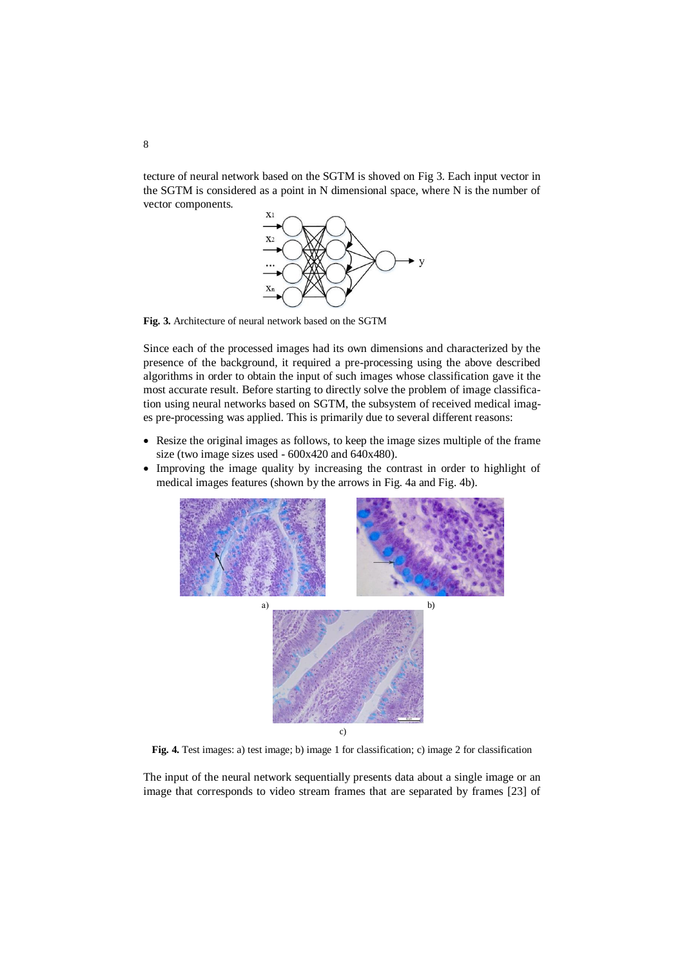tecture of neural network based on the SGTM is shoved on Fig 3. Each input vector in the SGTM is considered as a point in N dimensional space, where N is the number of vector components.



**Fig. 3.** Architecture of neural network based on the SGTM

Since each of the processed images had its own dimensions and characterized by the presence of the background, it required a pre-processing using the above described algorithms in order to obtain the input of such images whose classification gave it the most accurate result. Before starting to directly solve the problem of image classification using neural networks based on SGTM, the subsystem of received medical images pre-processing was applied. This is primarily due to several different reasons:

- Resize the original images as follows, to keep the image sizes multiple of the frame size (two image sizes used - 600x420 and 640x480).
- Improving the image quality by increasing the contrast in order to highlight of medical images features (shown by the arrows in Fig. 4a and Fig. 4b).



**Fig. 4.** Test images: a) test image; b) image 1 for classification; c) image 2 for classification

The input of the neural network sequentially presents data about a single image or an image that corresponds to video stream frames that are separated by frames [23] of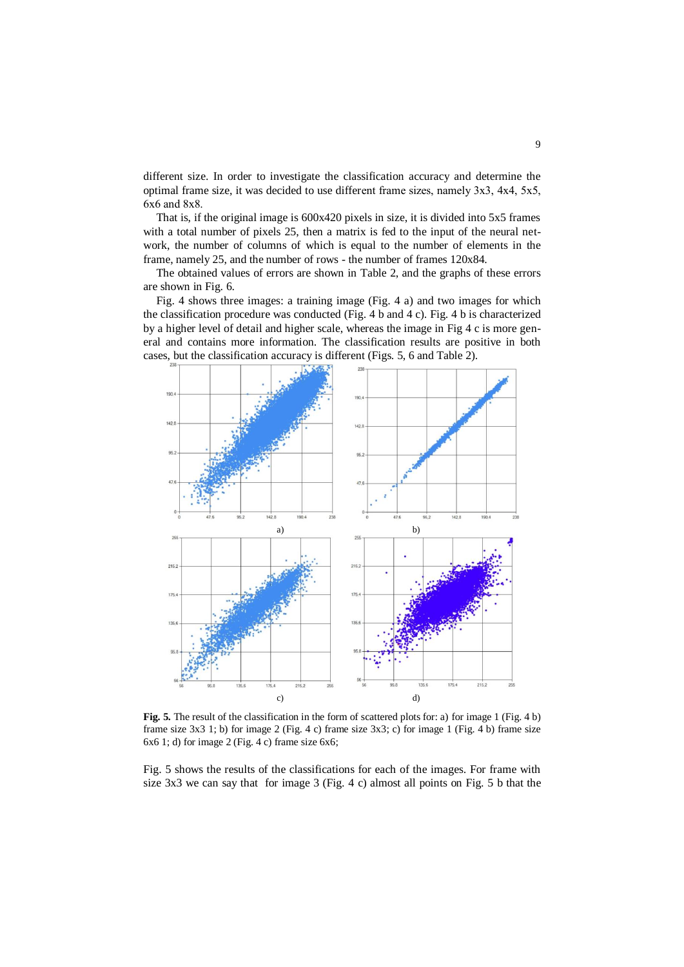different size. In order to investigate the classification accuracy and determine the optimal frame size, it was decided to use different frame sizes, namely 3х3, 4х4, 5x5, 6х6 and 8x8.

That is, if the original image is 600x420 pixels in size, it is divided into 5x5 frames with a total number of pixels 25, then a matrix is fed to the input of the neural network, the number of columns of which is equal to the number of elements in the frame, namely 25, and the number of rows - the number of frames 120x84.

The obtained values of errors are shown in Table 2, and the graphs of these errors are shown in Fig. 6.

Fig. 4 shows three images: a training image (Fig. 4 a) and two images for which the classification procedure was conducted (Fig. 4 b and 4 c). Fig. 4 b is characterized by a higher level of detail and higher scale, whereas the image in Fig 4 c is more general and contains more information. The classification results are positive in both cases, but the classification accuracy is different (Figs. 5, 6 and Table 2).



**Fig. 5.** The result of the classification in the form of scattered plots for: a) for image 1 (Fig. 4 b) frame size 3x3 1; b) for image 2 (Fig. 4 c) frame size 3x3; c) for image 1 (Fig. 4 b) frame size 6x6 1; d) for image 2 (Fig. 4 c) frame size 6x6;

Fig. 5 shows the results of the classifications for each of the images. For frame with size 3x3 we can say that for image 3 (Fig. 4 c) almost all points on Fig. 5 b that the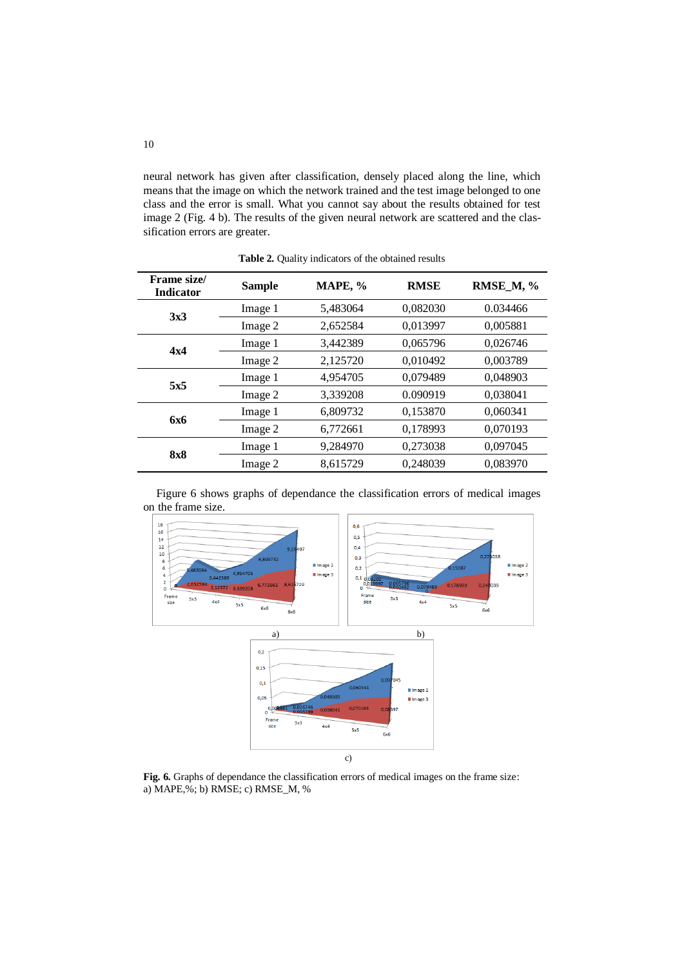neural network has given after classification, densely placed along the line, which means that the image on which the network trained and the test image belonged to one class and the error is small. What you cannot say about the results obtained for test image 2 (Fig. 4 b). The results of the given neural network are scattered and the classification errors are greater.

| Frame size/<br><b>Indicator</b> | <b>Sample</b> | MAPE, %  | <b>RMSE</b> | RMSE_M, % |
|---------------------------------|---------------|----------|-------------|-----------|
| 3x3                             | Image 1       | 5,483064 | 0,082030    | 0.034466  |
|                                 | Image 2       | 2,652584 | 0,013997    | 0,005881  |
| 4x4                             | Image 1       | 3,442389 | 0.065796    | 0,026746  |
|                                 | Image 2       | 2,125720 | 0.010492    | 0,003789  |
| 5x5                             | Image 1       | 4,954705 | 0,079489    | 0,048903  |
|                                 | Image 2       | 3,339208 | 0.090919    | 0.038041  |
| 6x6                             | Image 1       | 6,809732 | 0.153870    | 0.060341  |
|                                 | Image 2       | 6,772661 | 0,178993    | 0,070193  |
| <b>8x8</b>                      | Image 1       | 9,284970 | 0,273038    | 0,097045  |
|                                 | Image 2       | 8,615729 | 0,248039    | 0,083970  |

**Table 2.** Quality indicators of the obtained results





**Fig. 6.** Graphs of dependance the classification errors of medical images on the frame size: a) MAPE,%; b) RMSE; c) RMSE\_M, %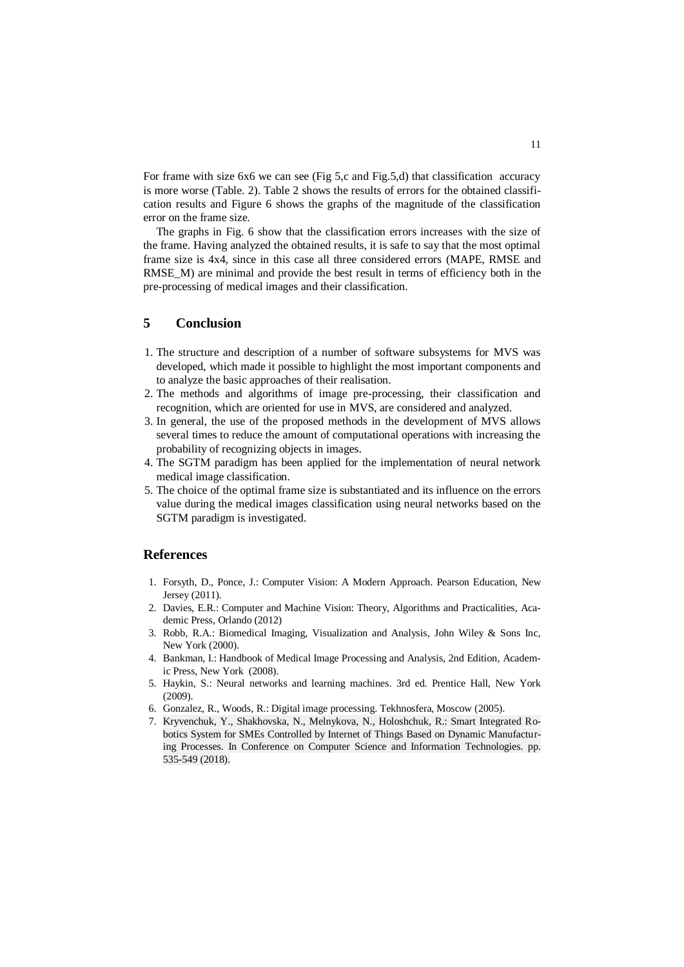For frame with size 6x6 we can see (Fig 5,c and Fig.5,d) that classification accuracy is more worse (Table. 2). Table 2 shows the results of errors for the obtained classification results and Figure 6 shows the graphs of the magnitude of the classification error on the frame size.

The graphs in Fig. 6 show that the classification errors increases with the size of the frame. Having analyzed the obtained results, it is safe to say that the most optimal frame size is 4x4, since in this case all three considered errors (MAPE, RMSE and RMSE<sub>M</sub>) are minimal and provide the best result in terms of efficiency both in the pre-processing of medical images and their classification.

# **5 Conclusion**

- 1. The structure and description of a number of software subsystems for MVS was developed, which made it possible to highlight the most important components and to analyze the basic approaches of their realisation.
- 2. The methods and algorithms of image pre-processing, their classification and recognition, which are oriented for use in MVS, are considered and analyzed.
- 3. In general, the use of the proposed methods in the development of MVS allows several times to reduce the amount of computational operations with increasing the probability of recognizing objects in images.
- 4. The SGTM paradigm has been applied for the implementation of neural network medical image classification.
- 5. The choice of the optimal frame size is substantiated and its influence on the errors value during the medical images classification using neural networks based on the SGTM paradigm is investigated.

## **References**

- 1. Forsyth, D., Ponce, J.: Computer Vision: A Modern Approach. Pearson Education, New Jersey (2011).
- 2. Davies, E.R.: Computer and Machine Vision: Theory, Algorithms and Practicalities, Academic Press, Orlando (2012)
- 3. Robb, R.A.: Biomedical Imaging, Visualization and Analysis, John Wiley & Sons Inc, New York (2000).
- 4. Bankman, I.: Handbook of Medical Image Processing and Analysis, 2nd Edition, Academic Press, New York (2008).
- 5. Haykin, S.: Neural networks and learning machines. 3rd ed. Prentice Hall, New York (2009).
- 6. Gonzalez, R., Woods, R.: Digital image processing. Tekhnosfera, Moscow (2005).
- 7. Kryvenchuk, Y., Shakhovska, N., Melnykova, N., Holoshchuk, R.: Smart Integrated Robotics System for SMEs Controlled by Internet of Things Based on Dynamic Manufacturing Processes. In Conference on Computer Science and Information Technologies. pp. 535-549 (2018).